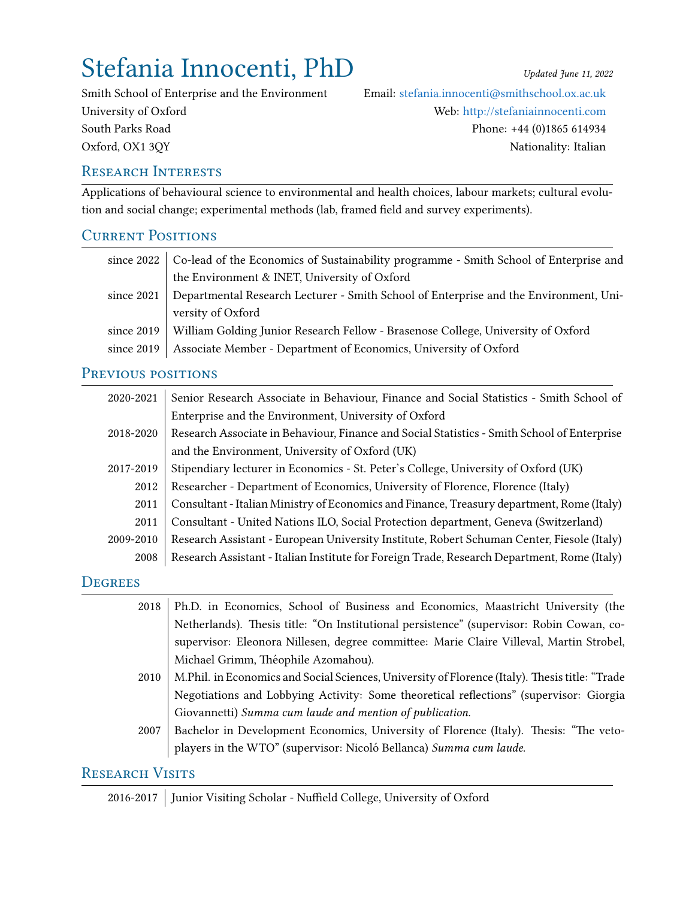# Stefania Innocenti, PhD Updated June 11, 2022

University of Oxford **Web:** http://stefaniainnocenti.com South Parks Road **Phone: +44 (0)1865 614934** Oxford, OX1 3QY Nationality: Italian

Smith School of Enterprise and the Environment Email: [stefania.innocenti@smithschool.ox.ac.uk](mailto:stefania.innocenti@smithschool.ox.ac.uk)

## RESEARCH INTERESTS

Applications of behavioural science to environmental and health choices, labour markets; cultural evolution and social change; experimental methods (lab, framed field and survey experiments).

# **CURRENT POSITIONS**

|            | since 2022 $\vert$ Co-lead of the Economics of Sustainability programme - Smith School of Enterprise and |
|------------|----------------------------------------------------------------------------------------------------------|
|            | the Environment & INET, University of Oxford                                                             |
| since 2021 | Departmental Research Lecturer - Smith School of Enterprise and the Environment, Uni-                    |
|            | versity of Oxford                                                                                        |
| since 2019 | William Golding Junior Research Fellow - Brasenose College, University of Oxford                         |
| since 2019 | Associate Member - Department of Economics, University of Oxford                                         |

## PREVIOUS POSITIONS

| 2020-2021 | Senior Research Associate in Behaviour, Finance and Social Statistics - Smith School of     |
|-----------|---------------------------------------------------------------------------------------------|
|           | Enterprise and the Environment, University of Oxford                                        |
| 2018-2020 | Research Associate in Behaviour, Finance and Social Statistics - Smith School of Enterprise |
|           | and the Environment, University of Oxford (UK)                                              |
| 2017-2019 | Stipendiary lecturer in Economics - St. Peter's College, University of Oxford (UK)          |
| 2012      | Researcher - Department of Economics, University of Florence, Florence (Italy)              |
| 2011      | Consultant - Italian Ministry of Economics and Finance, Treasury department, Rome (Italy)   |
| 2011      | Consultant - United Nations ILO, Social Protection department, Geneva (Switzerland)         |
| 2009-2010 | Research Assistant - European University Institute, Robert Schuman Center, Fiesole (Italy)  |
| 2008      | Research Assistant - Italian Institute for Foreign Trade, Research Department, Rome (Italy) |

## **DEGREES**

| 2018 | Ph.D. in Economics, School of Business and Economics, Maastricht University (the               |
|------|------------------------------------------------------------------------------------------------|
|      | Netherlands). Thesis title: "On Institutional persistence" (supervisor: Robin Cowan, co-       |
|      | supervisor: Eleonora Nillesen, degree committee: Marie Claire Villeval, Martin Strobel,        |
|      | Michael Grimm, Théophile Azomahou).                                                            |
| 2010 | M.Phil. in Economics and Social Sciences, University of Florence (Italy). Thesis title: "Trade |
|      | Negotiations and Lobbying Activity: Some theoretical reflections" (supervisor: Giorgia         |
|      | Giovannetti) Summa cum laude and mention of publication.                                       |
| 2007 | Bachelor in Development Economics, University of Florence (Italy). Thesis: "The veto-          |
|      | players in the WTO" (supervisor: Nicoló Bellanca) Summa cum laude.                             |
|      |                                                                                                |

# RESEARCH VISITS

2016-2017 | Junior Visiting Scholar - Nuffield College, University of Oxford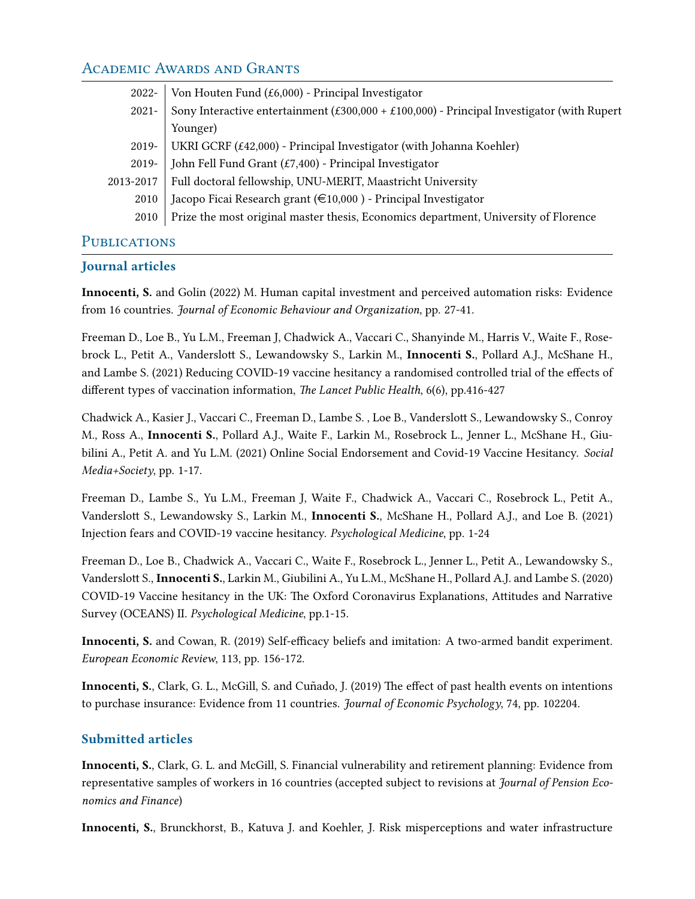# ACADEMIC AWARDS AND GRANTS

| 2022-     | Von Houten Fund (£6,000) - Principal Investigator                                          |
|-----------|--------------------------------------------------------------------------------------------|
| $2021 -$  | Sony Interactive entertainment (£300,000 + £100,000) - Principal Investigator (with Rupert |
|           | Younger)                                                                                   |
|           | 2019-   UKRI GCRF (£42,000) - Principal Investigator (with Johanna Koehler)                |
| $2019 -$  | John Fell Fund Grant (£7,400) - Principal Investigator                                     |
| 2013-2017 | Full doctoral fellowship, UNU-MERIT, Maastricht University                                 |
| 2010      | Jacopo Ficai Research grant (€10,000) - Principal Investigator                             |
| 2010      | Prize the most original master thesis, Economics department, University of Florence        |

#### **PUBLICATIONS**

#### Journal articles

Innocenti, S. and Golin (2022) M. Human capital investment and perceived automation risks: Evidence from 16 countries. Journal of Economic Behaviour and Organization, pp. 27-41.

Freeman D., Loe B., Yu L.M., Freeman J, Chadwick A., Vaccari C., Shanyinde M., Harris V., Waite F., Rosebrock L., Petit A., Vanderslott S., Lewandowsky S., Larkin M., Innocenti S., Pollard A.J., McShane H., and Lambe S. (2021) Reducing COVID-19 vaccine hesitancy a randomised controlled trial of the effects of different types of vaccination information, The Lancet Public Health, 6(6), pp.416-427

Chadwick A., Kasier J., Vaccari C., Freeman D., Lambe S., Loe B., Vanderslott S., Lewandowsky S., Conroy M., Ross A., Innocenti S., Pollard A.J., Waite F., Larkin M., Rosebrock L., Jenner L., McShane H., Giubilini A., Petit A. and Yu L.M. (2021) Online Social Endorsement and Covid-19 Vaccine Hesitancy. Social Media+Society, pp. 1-17.

Freeman D., Lambe S., Yu L.M., Freeman J, Waite F., Chadwick A., Vaccari C., Rosebrock L., Petit A., Vanderslott S., Lewandowsky S., Larkin M., Innocenti S., McShane H., Pollard A.J., and Loe B. (2021) Injection fears and COVID-19 vaccine hesitancy. Psychological Medicine, pp. 1-24

Freeman D., Loe B., Chadwick A., Vaccari C., Waite F., Rosebrock L., Jenner L., Petit A., Lewandowsky S., Vanderslott S., Innocenti S., Larkin M., Giubilini A., Yu L.M., McShane H., Pollard A.J. and Lambe S. (2020) COVID-19 Vaccine hesitancy in the UK: The Oxford Coronavirus Explanations, Attitudes and Narrative Survey (OCEANS) II. Psychological Medicine, pp.1-15.

Innocenti, S. and Cowan, R. (2019) Self-efficacy beliefs and imitation: A two-armed bandit experiment. European Economic Review, 113, pp. 156-172.

Innocenti, S., Clark, G. L., McGill, S. and Cuñado, J. (2019) The effect of past health events on intentions to purchase insurance: Evidence from 11 countries. Journal of Economic Psychology, 74, pp. 102204.

#### Submitted articles

Innocenti, S., Clark, G. L. and McGill, S. Financial vulnerability and retirement planning: Evidence from representative samples of workers in 16 countries (accepted subject to revisions at Journal of Pension Economics and Finance)

Innocenti, S., Brunckhorst, B., Katuva J. and Koehler, J. Risk misperceptions and water infrastructure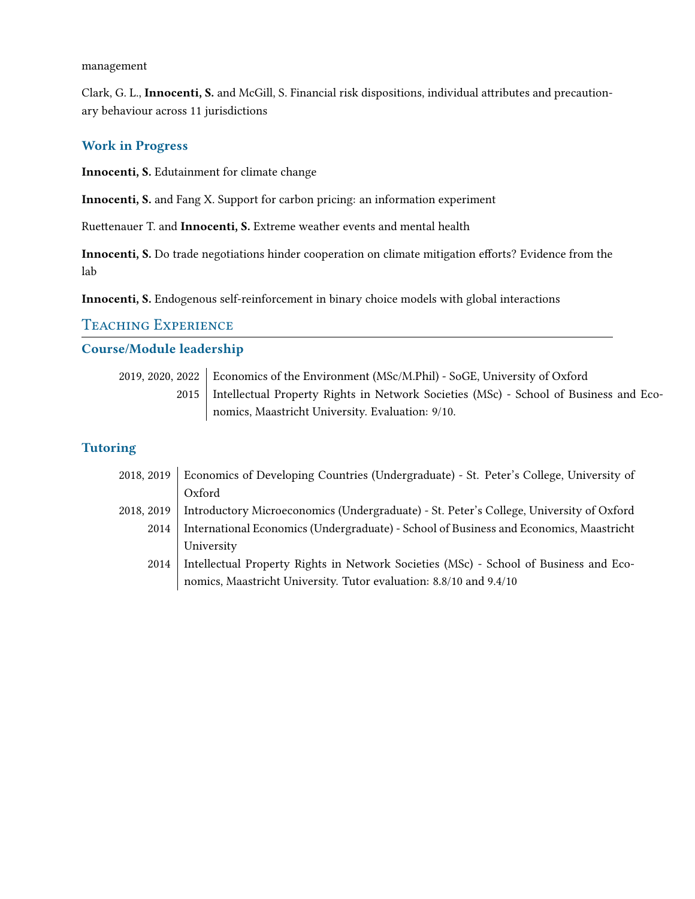management

Clark, G. L., Innocenti, S. and McGill, S. Financial risk dispositions, individual attributes and precautionary behaviour across 11 jurisdictions

#### Work in Progress

Innocenti, S. Edutainment for climate change

Innocenti, S. and Fang X. Support for carbon pricing: an information experiment

Ruettenauer T. and Innocenti, S. Extreme weather events and mental health

Innocenti, S. Do trade negotiations hinder cooperation on climate mitigation efforts? Evidence from the lab

Innocenti, S. Endogenous self-reinforcement in binary choice models with global interactions

### TEACHING EXPERIENCE

#### Course/Module leadership

2019, 2020, 2022 | Economics of the Environment (MSc/M.Phil) - SoGE, University of Oxford 2015 Intellectual Property Rights in Network Societies (MSc) - School of Business and Economics, Maastricht University. Evaluation: 9/10.

#### **Tutoring**

| 2018, 2019 | Economics of Developing Countries (Undergraduate) - St. Peter's College, University of  |
|------------|-----------------------------------------------------------------------------------------|
|            | Oxford                                                                                  |
| 2018, 2019 | Introductory Microeconomics (Undergraduate) - St. Peter's College, University of Oxford |
| 2014       | International Economics (Undergraduate) - School of Business and Economics, Maastricht  |
|            | University                                                                              |
| 2014       | Intellectual Property Rights in Network Societies (MSc) - School of Business and Eco-   |
|            | nomics, Maastricht University. Tutor evaluation: 8.8/10 and 9.4/10                      |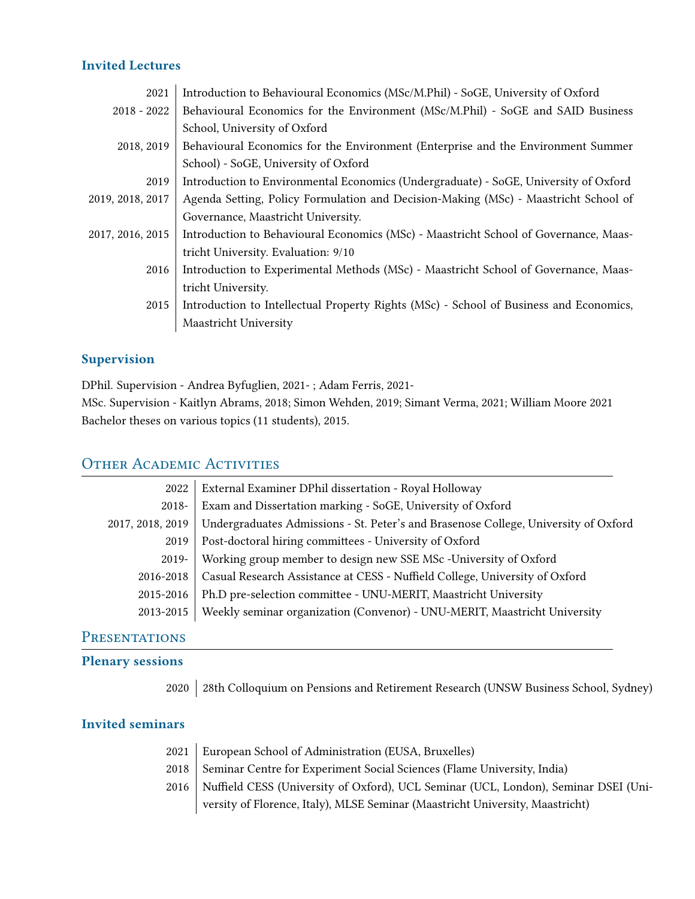#### Invited Lectures

| 2021             | Introduction to Behavioural Economics (MSc/M.Phil) - SoGE, University of Oxford        |
|------------------|----------------------------------------------------------------------------------------|
| $2018 - 2022$    | Behavioural Economics for the Environment (MSc/M.Phil) - SoGE and SAID Business        |
|                  | School, University of Oxford                                                           |
| 2018, 2019       | Behavioural Economics for the Environment (Enterprise and the Environment Summer       |
|                  | School) - SoGE, University of Oxford                                                   |
| 2019             | Introduction to Environmental Economics (Undergraduate) - SoGE, University of Oxford   |
| 2019, 2018, 2017 | Agenda Setting, Policy Formulation and Decision-Making (MSc) - Maastricht School of    |
|                  | Governance, Maastricht University.                                                     |
| 2017, 2016, 2015 | Introduction to Behavioural Economics (MSc) - Maastricht School of Governance, Maas-   |
|                  | tricht University. Evaluation: 9/10                                                    |
| 2016             | Introduction to Experimental Methods (MSc) - Maastricht School of Governance, Maas-    |
|                  | tricht University.                                                                     |
| 2015             | Introduction to Intellectual Property Rights (MSc) - School of Business and Economics, |
|                  | Maastricht University                                                                  |
|                  |                                                                                        |

#### **Supervision**

DPhil. Supervision - Andrea Byfuglien, 2021- ; Adam Ferris, 2021-

MSc. Supervision - Kaitlyn Abrams, 2018; Simon Wehden, 2019; Simant Verma, 2021; William Moore 2021 Bachelor theses on various topics (11 students), 2015.

# OTHER ACADEMIC ACTIVITIES

| 2022             | External Examiner DPhil dissertation - Royal Holloway                               |
|------------------|-------------------------------------------------------------------------------------|
| $2018-$          | Exam and Dissertation marking - SoGE, University of Oxford                          |
| 2017, 2018, 2019 | Undergraduates Admissions - St. Peter's and Brasenose College, University of Oxford |
| 2019             | Post-doctoral hiring committees - University of Oxford                              |
| $2019 -$         | Working group member to design new SSE MSc -University of Oxford                    |
| 2016-2018        | Casual Research Assistance at CESS - Nuffield College, University of Oxford         |
| 2015-2016        | Ph.D pre-selection committee - UNU-MERIT, Maastricht University                     |
| 2013-2015        | Weekly seminar organization (Convenor) - UNU-MERIT, Maastricht University           |
|                  |                                                                                     |

## **PRESENTATIONS**

#### Plenary sessions

2020 | 28th Colloquium on Pensions and Retirement Research (UNSW Business School, Sydney)

#### Invited seminars

- 2021 | European School of Administration (EUSA, Bruxelles) 2018 | Seminar Centre for Experiment Social Sciences (Flame University, India)
- 2016 | Nuffield CESS (University of Oxford), UCL Seminar (UCL, London), Seminar DSEI (University of Florence, Italy), MLSE Seminar (Maastricht University, Maastricht)